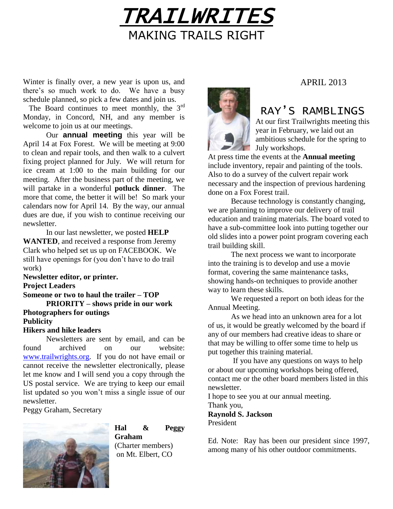

Winter is finally over, a new year is upon us, and there's so much work to do. We have a busy schedule planned, so pick a few dates and join us.

The Board continues to meet monthly, the 3<sup>rd</sup> Monday, in Concord, NH, and any member is welcome to join us at our meetings.

Our **annual meeting** this year will be April 14 at Fox Forest. We will be meeting at 9:00 to clean and repair tools, and then walk to a culvert fixing project planned for July. We will return for ice cream at 1:00 to the main building for our meeting. After the business part of the meeting, we will partake in a wonderful **potluck dinner**. The more that come, the better it will be! So mark your calendars now for April 14. By the way, our annual dues are due, if you wish to continue receiving our newsletter.

In our last newsletter, we posted **HELP WANTED**, and received a response from Jeremy Clark who helped set us up on FACEBOOK. We still have openings for (you don't have to do trail work)

**Newsletter editor, or printer. Project Leaders Someone or two to haul the trailer – TOP PRIORITY – shows pride in our work Photographers for outings Publicity Hikers and hike leaders**

Newsletters are sent by email, and can be found archived on our website: [www.trailwrights.org.](http://www.trailwrights.org/) If you do not have email or cannot receive the newsletter electronically, please let me know and I will send you a copy through the US postal service. We are trying to keep our email list updated so you won't miss a single issue of our newsletter.

Peggy Graham, Secretary



### **Hal & Peggy Graham** (Charter members) on Mt. Elbert, CO

## APRIL 2013

# RAY'S RAMBLINGS

At our first Trailwrights meeting this year in February, we laid out an ambitious schedule for the spring to July workshops.

At press time the events at the **Annual meeting** include inventory, repair and painting of the tools. Also to do a survey of the culvert repair work necessary and the inspection of previous hardening done on a Fox Forest trail.

Because technology is constantly changing, we are planning to improve our delivery of trail education and training materials. The board voted to have a sub-committee look into putting together our old slides into a power point program covering each trail building skill.

The next process we want to incorporate into the training is to develop and use a movie format, covering the same maintenance tasks, showing hands-on techniques to provide another way to learn these skills.

We requested a report on both ideas for the Annual Meeting.

As we head into an unknown area for a lot of us, it would be greatly welcomed by the board if any of our members had creative ideas to share or that may be willing to offer some time to help us put together this training material.

If you have any questions on ways to help or about our upcoming workshops being offered, contact me or the other board members listed in this newsletter.

I hope to see you at our annual meeting. Thank you,

**Raynold S. Jackson** President

Ed. Note: Ray has been our president since 1997, among many of his other outdoor commitments.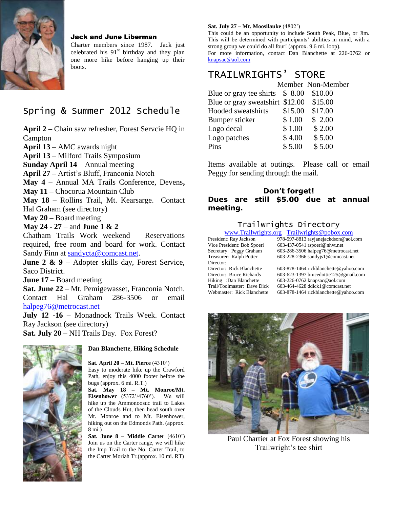

#### Jack and June Liberman

Charter members since 1987. Jack just celebrated his  $91<sup>st</sup>$  birthday and they plan one more hike before hanging up their boots.

# Spring & Summer 2012 Schedule

**April 2 –** Chain saw refresher, Forest Servcie HQ in Campton

**April 13** – AMC awards night

**April 13** – Milford Trails Symposium

**Sunday April 14** – Annual meeting

**April 27 –** Artist's Bluff, Franconia Notch

**May 4 –** Annual MA Trails Conference, Devens**,** 

**May 11 –** Chocorua Mountain Club

**May 18** – Rollins Trail, Mt. Kearsarge. Contact Hal Graham (see directory)

**May 20 –** Board meeting

### **May 24 - 27** – and **June 1 & 2**

Chatham Trails Work weekend – Reservations required, free room and board for work. Contact Sandy Finn at [sandycta@comcast.net.](mailto:sandycta@comcast.net)

**June 2 & 9** – Adopter skills day, Forest Service, Saco District.

**June 17** – Board meeting

**Sat. June 22** – Mt. Pemigewasset, Franconia Notch. Contact Hal Graham 286-3506 or email [halpeg76@metrocast.net](mailto:halpeg76@metrocast.net)

**July 12 -16** – Monadnock Trails Week. Contact Ray Jackson (see directory)

**Sat. July 20** – NH Trails Day. Fox Forest?



#### **Dan Blanchette**, **Hiking Schedule**

**Sat. April 20 – Mt. Pierce** (4310') Easy to moderate hike up the Crawford Path, enjoy this 4000 footer before the bugs (approx. 6 mi. R.T.)

**Sat. May 18 – Mt. Monroe/Mt. Eisenhower** (5372'/4760'). We will hike up the Ammonoosuc trail to Lakes of the Clouds Hut, then head south over Mt. Monroe and to Mt. Eisenhower, hiking out on the Edmonds Path. (approx. 8 mi.)

**Sat. June 8 – Middle Carter** (4610') Join us on the Carter range, we will hike the Imp Trail to the No. Carter Trail, to the Carter Moriah Tr.(approx. 10 mi. RT)

#### **Sat. July 27 – Mt. Moosilauke** (4802')

This could be an opportunity to include South Peak, Blue, or Jim. This will be determined with participants' abilities in mind, with a strong group we could do all four! (approx. 9.6 mi. loop). For more information, contact Dan Blanchette at 226-0762 or [knapsac@aol.com](mailto:knapsac@aol.com)

# TRAILWRIGHTS' STORE

|                                 |         | Member Non-Member |  |
|---------------------------------|---------|-------------------|--|
| Blue or gray tee shirts $$8.00$ |         | \$10.00           |  |
| Blue or gray sweatshirt \$12.00 |         | \$15.00           |  |
| Hooded sweatshirts              | \$15.00 | \$17.00           |  |
| Bumper sticker                  | \$1.00  | \$2.00            |  |
| Logo decal                      | \$1.00  | \$2.00            |  |
| Logo patches                    | \$4.00  | \$5.00            |  |
| Pins                            | \$5.00  | \$5.00            |  |
|                                 |         |                   |  |

Items available at outings. Please call or email Peggy for sending through the mail.

### **Don't forget! Dues are still \$5.00 due at annual meeting.**

### Trailwrights Directory

|                             | www.Trailwrights.org Trailwrights@pobox.com |
|-----------------------------|---------------------------------------------|
| President: Ray Jackson      | 978-597-8813 rayjanejackdson@aol.com        |
| Vice President: Bob Spoerl  | 603-437-0541 rspoerl@nhvt.net               |
| Secretary: Peggy Graham     | 603-286-3506 halpeg76@metrocast.net         |
| Treasurer: Ralph Potter     | 603-228-2366 sandyjs1@comcast.net           |
| Director:                   |                                             |
| Director: Rick Blanchette   | 603-878-1464 rickblanchette@yahoo.com       |
| Director: Bruce Richards    | 603-623-1397 brucedottie125@gmail.com       |
| Hiking: Dan Blanchette      | 603-226-0762 knapsac@aol.com                |
| Trail/Toolmaster: Dave Dick | 603-464-4628 ddick1@comcast.net             |
| Webmaster: Rick Blanchette  | 603-878-1464 rickblanchette@yahoo.com       |



Paul Chartier at Fox Forest showing his Trailwright's tee shirt